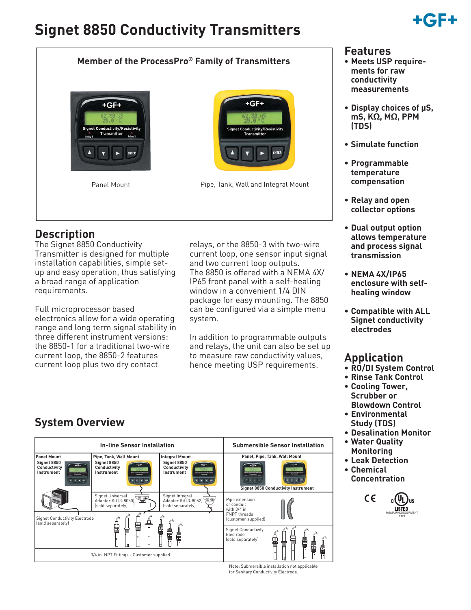# **Signet 8850 Conductivity Transmitters**

# +161 F

### **Member of the ProcessPro® Family of Transmitters**





Pipe, Tank, Wall and Integral Mount

## **Description**

The Signet 8850 Conductivity Transmitter is designed for multiple installation capabilities, simple setup and easy operation, thus satisfying a broad range of application requirements.

Full microprocessor based electronics allow for a wide operating range and long term signal stability in three different instrument versions: the 8850-1 for a traditional two-wire current loop, the 8850-2 features current loop plus two dry contact

relays, or the 8850-3 with two-wire current loop, one sensor input signal and two current loop outputs. The 8850 is offered with a NEMA 4X/ IP65 front panel with a self-healing window in a convenient 1/4 DIN package for easy mounting. The 8850 can be configured via a simple menu system.

In addition to programmable outputs and relays, the unit can also be set up to measure raw conductivity values, hence meeting USP requirements.

#### **Features**

- **Meets USP requirements for raw conductivity measurements**
- **Display choices of μS, mS, KΩ, MΩ, PPM (TDS)**
- **Simulate function**
- **Programmable temperature compensation**
- **Relay and open collector options**
- **Dual output option allows temperature and process signal transmission**
- **NEMA 4X/IP65 enclosure with selfhealing window**
- **Compatible with ALL Signet conductivity electrodes**

### **Application**

- **RO/DI System Control**
- **Rinse Tank Control • Cooling Tower, Scrubber or**
- **Blowdown Control • Environmental Study (TDS)**
- **Desalination Monitor**
- **Water Quality Monitoring**
- **Leak Detection**
- **Chemical Concentration**



# **System Overview**



Note: Submersible installation not applicable for Sanitary Conductivity Electrode.